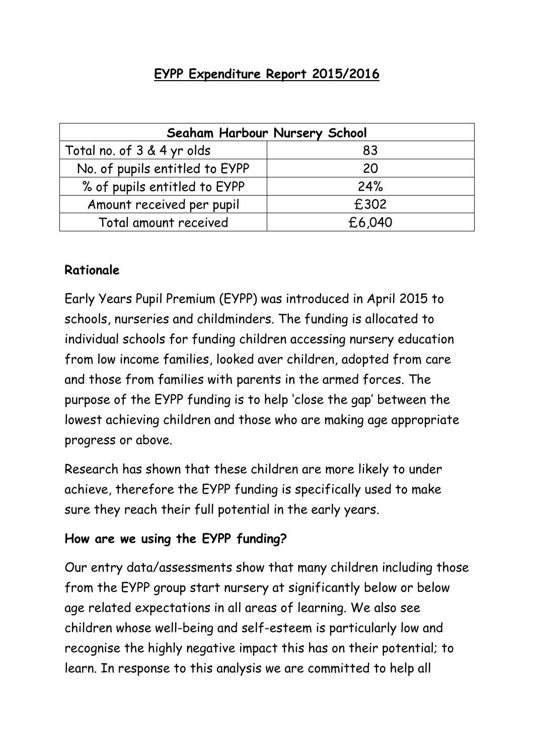## **EYPP Expenditure Report 2015/2016**

| Seaham Harbour Nursery School  |        |  |  |  |
|--------------------------------|--------|--|--|--|
| Total no. of 3 & 4 yr olds     | 83     |  |  |  |
| No. of pupils entitled to EYPP | 20     |  |  |  |
| % of pupils entitled to EYPP   | 24%    |  |  |  |
| Amount received per pupil      | £302   |  |  |  |
| Total amount received          | £6,040 |  |  |  |

#### **Rationale**

Early Years Pupil Premium (EYPP) was introduced in April 2015 to schools, nurseries and childminders. The funding is allocated to individual schools for funding children accessing nursery education from low income families, looked aver children, adopted from care and those from families with parents in the armed forces. The purpose of the EYPP funding is to help 'close the gap' between the lowest achieving children and those who are making age appropriate progress or above.

Research has shown that these children are more likely to under achieve, therefore the EYPP funding is specifically used to make sure they reach their full potential in the early years.

### **How are we using the EYPP funding?**

Our entry data/assessments show that many children including those from the EYPP group start nursery at significantly below or below age related expectations in all areas of learning. We also see children whose well-being and self-esteem is particularly low and recognise the highly negative impact this has on their potential; to learn. In response to this analysis we are committed to help all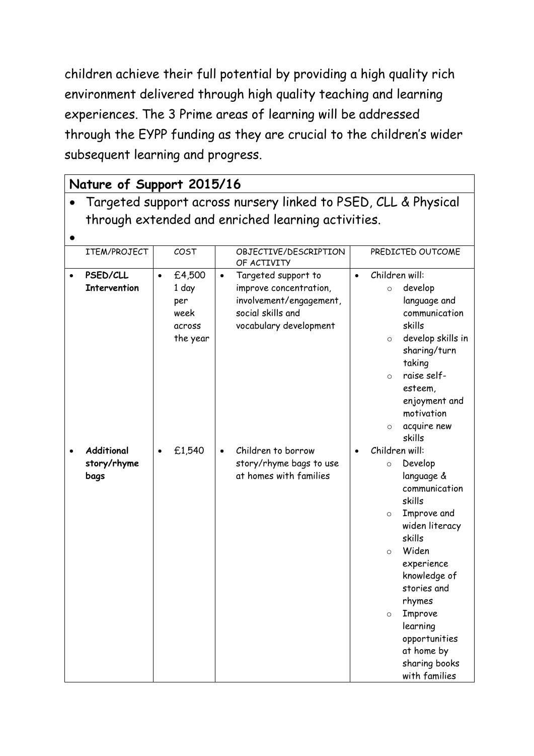children achieve their full potential by providing a high quality rich environment delivered through high quality teaching and learning experiences. The 3 Prime areas of learning will be addressed through the EYPP funding as they are crucial to the children's wider subsequent learning and progress.

| Nature of Support 2015/16                                      |           |                                                      |           |                                                                                                                         |           |                                                                                                                                                                                                                                                                                                                   |
|----------------------------------------------------------------|-----------|------------------------------------------------------|-----------|-------------------------------------------------------------------------------------------------------------------------|-----------|-------------------------------------------------------------------------------------------------------------------------------------------------------------------------------------------------------------------------------------------------------------------------------------------------------------------|
| Targeted support across nursery linked to PSED, CLL & Physical |           |                                                      |           |                                                                                                                         |           |                                                                                                                                                                                                                                                                                                                   |
| through extended and enriched learning activities.             |           |                                                      |           |                                                                                                                         |           |                                                                                                                                                                                                                                                                                                                   |
|                                                                |           |                                                      |           |                                                                                                                         |           |                                                                                                                                                                                                                                                                                                                   |
| ITEM/PROJECT                                                   |           | COST                                                 |           | OBJECTIVE/DESCRIPTION<br>OF ACTIVITY                                                                                    |           | PREDICTED OUTCOME                                                                                                                                                                                                                                                                                                 |
| PSED/CLL<br><b>Intervention</b>                                | $\bullet$ | £4,500<br>1 day<br>per<br>week<br>across<br>the year | $\bullet$ | Targeted support to<br>improve concentration,<br>involvement/engagement,<br>social skills and<br>vocabulary development | $\bullet$ | Children will:<br>develop<br>$\circ$<br>language and<br>communication<br>skills<br>develop skills in<br>$\circ$<br>sharing/turn<br>taking<br>raise self-<br>$\Omega$<br>esteem,<br>enjoyment and<br>motivation<br>acquire new<br>$\circ$<br>skills                                                                |
| Additional<br>story/rhyme<br>bags                              | $\bullet$ | £1,540                                               | $\bullet$ | Children to borrow<br>story/rhyme bags to use<br>at homes with families                                                 |           | Children will:<br>Develop<br>$\circ$<br>language &<br>communication<br>skills<br>Improve and<br>$\circ$<br>widen literacy<br>skills<br>Widen<br>$\circ$<br>experience<br>knowledge of<br>stories and<br>rhymes<br>Improve<br>$\circ$<br>learning<br>opportunities<br>at home by<br>sharing books<br>with families |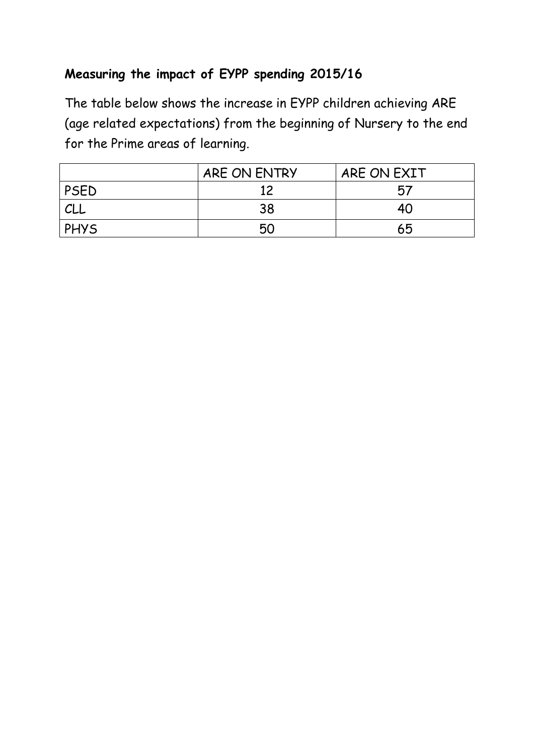## **Measuring the impact of EYPP spending 2015/16**

The table below shows the increase in EYPP children achieving ARE (age related expectations) from the beginning of Nursery to the end for the Prime areas of learning.

|             | ARE ON ENTRY | ARE ON EXIT |
|-------------|--------------|-------------|
| PSED        |              | 57          |
| CLL         | 38           | 40          |
| <b>PHYS</b> | 50           | 65          |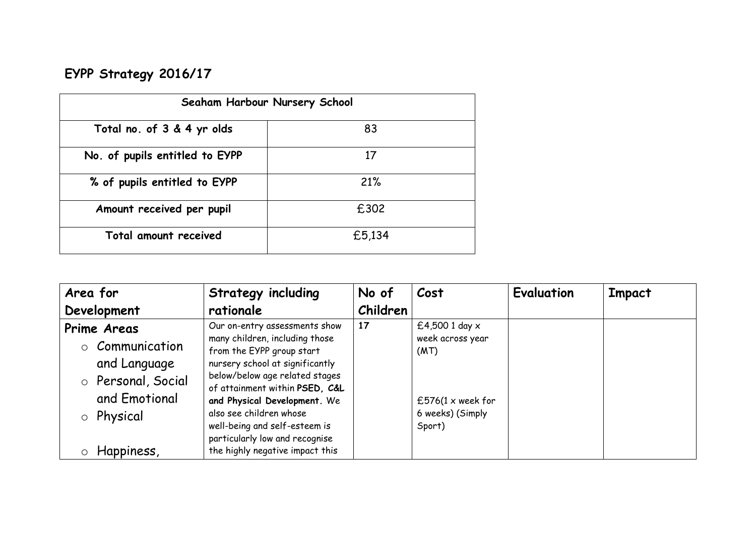# **EYPP Strategy 2016/17**

| Seaham Harbour Nursery School  |        |  |  |  |
|--------------------------------|--------|--|--|--|
| Total no. of 3 & 4 yr olds     | 83     |  |  |  |
| No. of pupils entitled to EYPP | 17     |  |  |  |
| % of pupils entitled to EYPP   | 21%    |  |  |  |
| Amount received per pupil      | £302   |  |  |  |
| Total amount received          | £5,134 |  |  |  |

| Area for<br>Development                                                                                                  | <b>Strategy including</b><br>rationale                                                                                                                                                                                                                                                                                                                               | No of<br>Children | Cost                                                                                                   | Evaluation | Impact |
|--------------------------------------------------------------------------------------------------------------------------|----------------------------------------------------------------------------------------------------------------------------------------------------------------------------------------------------------------------------------------------------------------------------------------------------------------------------------------------------------------------|-------------------|--------------------------------------------------------------------------------------------------------|------------|--------|
| <b>Prime Areas</b><br>o Communication<br>and Language<br>o Personal, Social<br>and Emotional<br>o Physical<br>Happiness, | Our on-entry assessments show<br>many children, including those<br>from the EYPP group start<br>nursery school at significantly<br>below/below age related stages<br>of attainment within PSED, C&L<br>and Physical Development. We<br>also see children whose<br>well-being and self-esteem is<br>particularly low and recognise<br>the highly negative impact this | 17                | £4,500 1 day $x$<br>week across year<br>(MT)<br>£576(1 $\times$ week for<br>6 weeks) (Simply<br>Sport) |            |        |